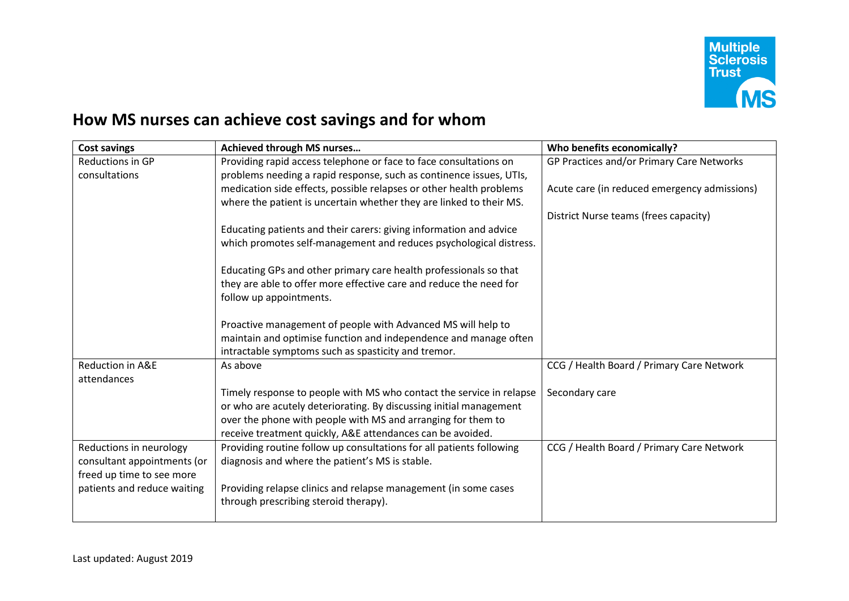

## **How MS nurses can achieve cost savings and for whom**

| <b>Cost savings</b>         | Achieved through MS nurses                                           | Who benefits economically?                   |
|-----------------------------|----------------------------------------------------------------------|----------------------------------------------|
| Reductions in GP            | Providing rapid access telephone or face to face consultations on    | GP Practices and/or Primary Care Networks    |
| consultations               | problems needing a rapid response, such as continence issues, UTIs,  |                                              |
|                             | medication side effects, possible relapses or other health problems  | Acute care (in reduced emergency admissions) |
|                             | where the patient is uncertain whether they are linked to their MS.  |                                              |
|                             |                                                                      | District Nurse teams (frees capacity)        |
|                             | Educating patients and their carers: giving information and advice   |                                              |
|                             | which promotes self-management and reduces psychological distress.   |                                              |
|                             |                                                                      |                                              |
|                             | Educating GPs and other primary care health professionals so that    |                                              |
|                             | they are able to offer more effective care and reduce the need for   |                                              |
|                             | follow up appointments.                                              |                                              |
|                             |                                                                      |                                              |
|                             | Proactive management of people with Advanced MS will help to         |                                              |
|                             | maintain and optimise function and independence and manage often     |                                              |
|                             | intractable symptoms such as spasticity and tremor.                  |                                              |
| Reduction in A&E            | As above                                                             | CCG / Health Board / Primary Care Network    |
| attendances                 |                                                                      |                                              |
|                             | Timely response to people with MS who contact the service in relapse | Secondary care                               |
|                             | or who are acutely deteriorating. By discussing initial management   |                                              |
|                             | over the phone with people with MS and arranging for them to         |                                              |
|                             | receive treatment quickly, A&E attendances can be avoided.           |                                              |
| Reductions in neurology     | Providing routine follow up consultations for all patients following | CCG / Health Board / Primary Care Network    |
| consultant appointments (or | diagnosis and where the patient's MS is stable.                      |                                              |
| freed up time to see more   |                                                                      |                                              |
| patients and reduce waiting | Providing relapse clinics and relapse management (in some cases      |                                              |
|                             | through prescribing steroid therapy).                                |                                              |
|                             |                                                                      |                                              |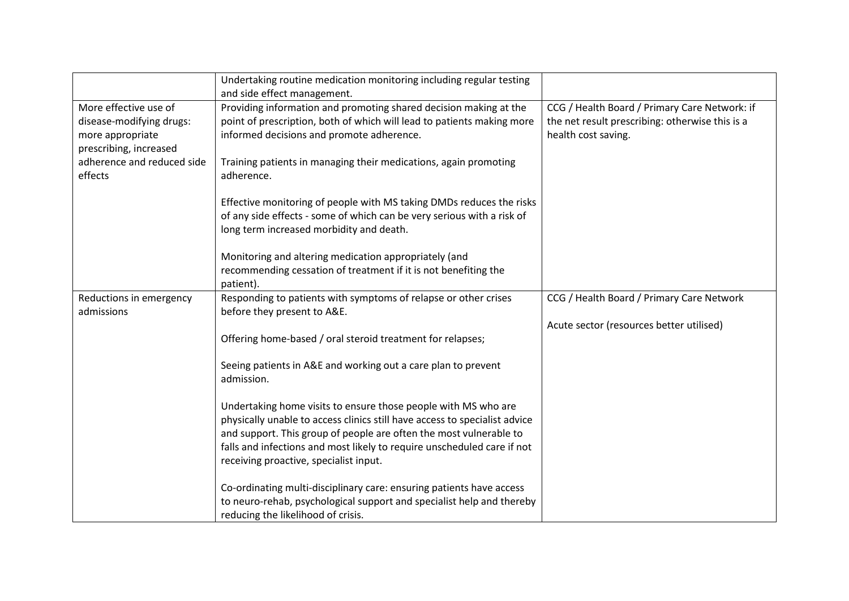|                                                                                                 | Undertaking routine medication monitoring including regular testing<br>and side effect management.                                                                                                                                                                                                                                      |                                                                                                                         |
|-------------------------------------------------------------------------------------------------|-----------------------------------------------------------------------------------------------------------------------------------------------------------------------------------------------------------------------------------------------------------------------------------------------------------------------------------------|-------------------------------------------------------------------------------------------------------------------------|
| More effective use of<br>disease-modifying drugs:<br>more appropriate<br>prescribing, increased | Providing information and promoting shared decision making at the<br>point of prescription, both of which will lead to patients making more<br>informed decisions and promote adherence.                                                                                                                                                | CCG / Health Board / Primary Care Network: if<br>the net result prescribing: otherwise this is a<br>health cost saving. |
| adherence and reduced side<br>effects                                                           | Training patients in managing their medications, again promoting<br>adherence.                                                                                                                                                                                                                                                          |                                                                                                                         |
|                                                                                                 | Effective monitoring of people with MS taking DMDs reduces the risks<br>of any side effects - some of which can be very serious with a risk of<br>long term increased morbidity and death.                                                                                                                                              |                                                                                                                         |
|                                                                                                 | Monitoring and altering medication appropriately (and<br>recommending cessation of treatment if it is not benefiting the<br>patient).                                                                                                                                                                                                   |                                                                                                                         |
| Reductions in emergency<br>admissions                                                           | Responding to patients with symptoms of relapse or other crises<br>before they present to A&E.                                                                                                                                                                                                                                          | CCG / Health Board / Primary Care Network                                                                               |
|                                                                                                 | Offering home-based / oral steroid treatment for relapses;                                                                                                                                                                                                                                                                              | Acute sector (resources better utilised)                                                                                |
|                                                                                                 | Seeing patients in A&E and working out a care plan to prevent<br>admission.                                                                                                                                                                                                                                                             |                                                                                                                         |
|                                                                                                 | Undertaking home visits to ensure those people with MS who are<br>physically unable to access clinics still have access to specialist advice<br>and support. This group of people are often the most vulnerable to<br>falls and infections and most likely to require unscheduled care if not<br>receiving proactive, specialist input. |                                                                                                                         |
|                                                                                                 | Co-ordinating multi-disciplinary care: ensuring patients have access<br>to neuro-rehab, psychological support and specialist help and thereby<br>reducing the likelihood of crisis.                                                                                                                                                     |                                                                                                                         |